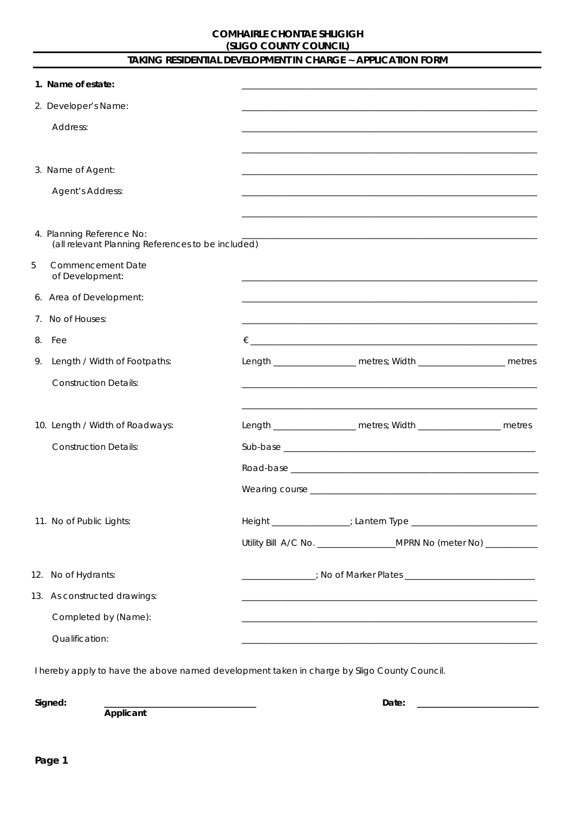# TAKING RESIDENTIAL DEVELOPMENT IN CHARGE ~ APPLICATION FORM

|    | 1. Name of estate:                                                             |  |                                                                                                                  |  |
|----|--------------------------------------------------------------------------------|--|------------------------------------------------------------------------------------------------------------------|--|
|    | 2. Developer's Name:                                                           |  |                                                                                                                  |  |
|    | Address:                                                                       |  |                                                                                                                  |  |
|    |                                                                                |  |                                                                                                                  |  |
|    | 3. Name of Agent:                                                              |  |                                                                                                                  |  |
|    | Agent's Address:                                                               |  |                                                                                                                  |  |
|    |                                                                                |  |                                                                                                                  |  |
|    | 4. Planning Reference No:<br>(all relevant Planning References to be included) |  | <u> 1989 - Johann Stoff, amerikansk politiker (d. 1989)</u>                                                      |  |
| 5  | <b>Commencement Date</b><br>of Development:                                    |  |                                                                                                                  |  |
|    | 6. Area of Development:                                                        |  |                                                                                                                  |  |
|    | 7. No of Houses:                                                               |  | and the control of the control of the control of the control of the control of the control of the control of the |  |
|    | 8. Fee                                                                         |  |                                                                                                                  |  |
| 9. | Length / Width of Footpaths:                                                   |  | Length _____________________ metres; Width _______________________ metres                                        |  |
|    | <b>Construction Details:</b>                                                   |  |                                                                                                                  |  |
|    |                                                                                |  |                                                                                                                  |  |
|    | 10. Length / Width of Roadways:                                                |  | Length ______________________ metres; Width _______________________ metres                                       |  |
|    | <b>Construction Details:</b>                                                   |  |                                                                                                                  |  |
|    |                                                                                |  |                                                                                                                  |  |
|    |                                                                                |  |                                                                                                                  |  |
|    |                                                                                |  |                                                                                                                  |  |
|    | 11. No of Public Lights:                                                       |  |                                                                                                                  |  |
|    |                                                                                |  | Utility Bill A/C No. ___________________MPRN No (meter No) __________                                            |  |
|    | 12. No of Hydrants:                                                            |  |                                                                                                                  |  |
|    | 13. As constructed drawings:                                                   |  |                                                                                                                  |  |
|    | Completed by (Name):                                                           |  |                                                                                                                  |  |
|    | Qualification:                                                                 |  |                                                                                                                  |  |

I hereby apply to have the above named development taken in charge by Sligo County Council.

Signed:

Applicant

Date:  $\qquad \qquad$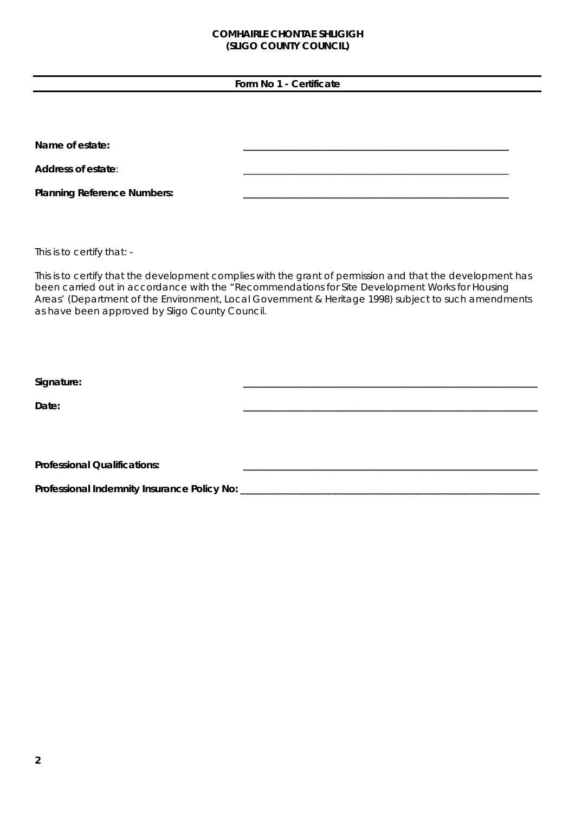## **Form No 1 - Certificate**

| Name of estate:                    |  |
|------------------------------------|--|
| Address of estate:                 |  |
| <b>Planning Reference Numbers:</b> |  |

This is to certify that: -

This is to certify that the development complies with the grant of permission and that the development has been carried out in accordance with the "Recommendations for Site Development Works for Housing Areas' (Department of the Environment, Local Government & Heritage 1998) subject to such amendments as have been approved by Sligo County Council.

**Signature: \_\_\_\_\_\_\_\_\_\_\_\_\_\_\_\_\_\_\_\_\_\_\_\_\_\_\_\_\_\_\_\_\_\_\_\_\_\_\_\_\_\_\_\_\_\_\_\_\_\_\_\_\_\_\_\_\_\_\_\_\_** 

**Date: \_\_\_\_\_\_\_\_\_\_\_\_\_\_\_\_\_\_\_\_\_\_\_\_\_\_\_\_\_\_\_\_\_\_\_\_\_\_\_\_\_\_\_\_\_\_\_\_\_\_\_\_\_\_\_\_\_\_\_\_\_** 

Professional Qualifications:

**Professional Indemnity Insurance Policy No: \_\_\_\_\_\_\_\_\_\_\_\_\_\_\_\_\_\_\_\_\_\_\_\_\_\_\_\_\_\_\_\_\_\_\_\_\_\_\_\_\_\_\_\_\_\_\_\_\_\_\_\_\_\_\_\_\_\_\_\_\_\_**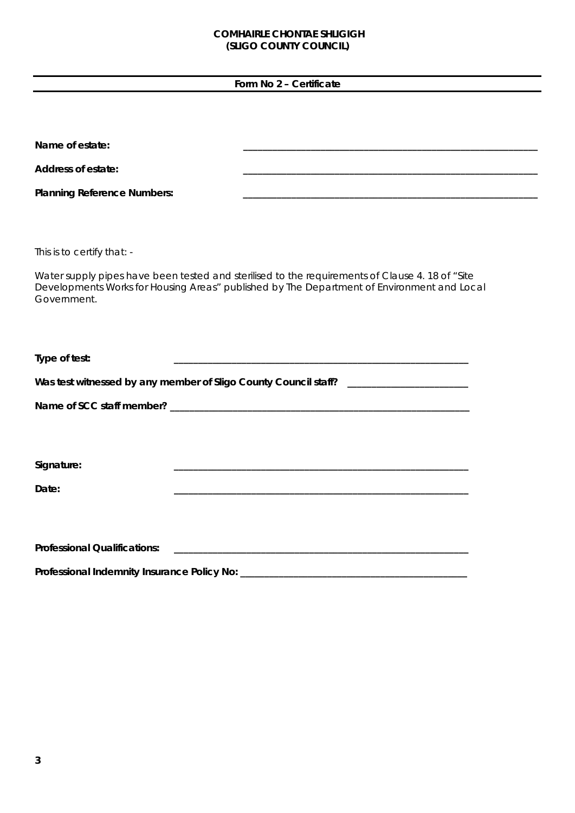**Form No 2 – Certificate** 

| Name of estate:                     |                                                                                                                                                                                               |
|-------------------------------------|-----------------------------------------------------------------------------------------------------------------------------------------------------------------------------------------------|
| <b>Address of estate:</b>           |                                                                                                                                                                                               |
| <b>Planning Reference Numbers:</b>  | <u> 1989 - Johann Barbara, margaret amerikan bahasa di sebagai bahasa di sebagai bahasa di sebagai bahasa di seba</u>                                                                         |
|                                     |                                                                                                                                                                                               |
| This is to certify that: -          |                                                                                                                                                                                               |
| Government.                         | Water supply pipes have been tested and sterilised to the requirements of Clause 4. 18 of "Site<br>Developments Works for Housing Areas" published by The Department of Environment and Local |
| Type of test:                       |                                                                                                                                                                                               |
|                                     | Was test witnessed by any member of Sligo County Council staff? _________________                                                                                                             |
|                                     |                                                                                                                                                                                               |
|                                     |                                                                                                                                                                                               |
| Signature:                          |                                                                                                                                                                                               |
| Date:                               |                                                                                                                                                                                               |
|                                     |                                                                                                                                                                                               |
| <b>Professional Qualifications:</b> |                                                                                                                                                                                               |
|                                     |                                                                                                                                                                                               |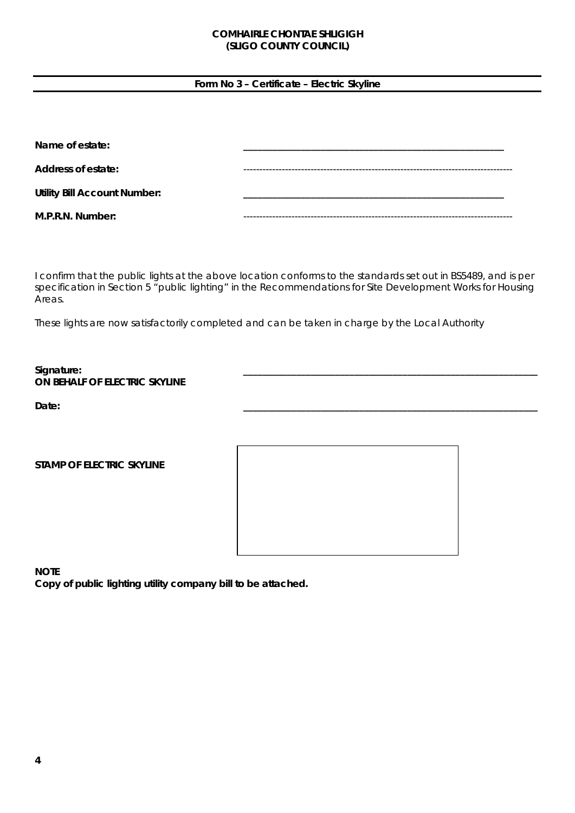### **Form No 3 – Certificate – Electric Skyline**

| Name of estate:                     |  |
|-------------------------------------|--|
| Address of estate:                  |  |
| <b>Utility Bill Account Number:</b> |  |
| M.P.R.N. Number:                    |  |

I confirm that the public lights at the above location conforms to the standards set out in BS5489, and is per specification in Section 5 "public lighting" in the Recommendations for Site Development Works for Housing Areas.

These lights are now satisfactorily completed and can be taken in charge by the Local Authority

#### **Signature: \_\_\_\_\_\_\_\_\_\_\_\_\_\_\_\_\_\_\_\_\_\_\_\_\_\_\_\_\_\_\_\_\_\_\_\_\_\_\_\_\_\_\_\_\_\_\_\_\_\_\_\_\_\_\_\_\_\_\_\_\_ ON BEHALF OF ELECTRIC SKYLINE**

**Date: \_\_\_\_\_\_\_\_\_\_\_\_\_\_\_\_\_\_\_\_\_\_\_\_\_\_\_\_\_\_\_\_\_\_\_\_\_\_\_\_\_\_\_\_\_\_\_\_\_\_\_\_\_\_\_\_\_\_\_\_\_** 

**STAMP OF ELECTRIC SKYLINE** 



**NOTE** 

**Copy of public lighting utility company bill to be attached.**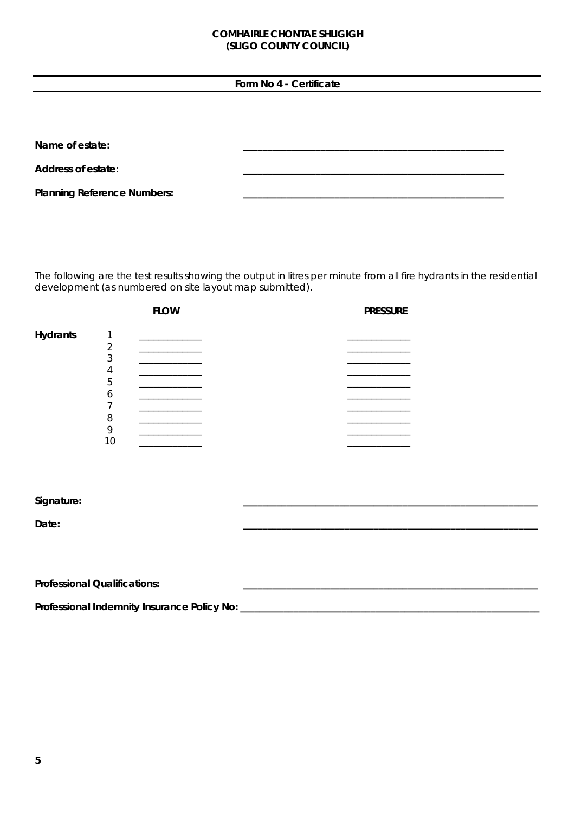### **Form No 4 - Certificate**

Name of estate:

Address of estate:

**Planning Reference Numbers:** 

The following are the test results showing the output in litres per minute from all fire hydrants in the residential development (as numbered on site layout map submitted).

|                 |    | <b>FLOW</b> | <b>PRESSURE</b> |
|-----------------|----|-------------|-----------------|
| <b>Hydrants</b> |    |             |                 |
|                 |    |             |                 |
|                 | ◠  |             |                 |
|                 |    |             |                 |
|                 | 5  |             |                 |
|                 | 6  |             |                 |
|                 |    |             |                 |
|                 | 8  |             |                 |
|                 |    |             |                 |
|                 | 10 |             |                 |
|                 |    |             |                 |

#### **Signature: \_\_\_\_\_\_\_\_\_\_\_\_\_\_\_\_\_\_\_\_\_\_\_\_\_\_\_\_\_\_\_\_\_\_\_\_\_\_\_\_\_\_\_\_\_\_\_\_\_\_\_\_\_\_\_\_\_\_\_\_\_**

**Date: \_\_\_\_\_\_\_\_\_\_\_\_\_\_\_\_\_\_\_\_\_\_\_\_\_\_\_\_\_\_\_\_\_\_\_\_\_\_\_\_\_\_\_\_\_\_\_\_\_\_\_\_\_\_\_\_\_\_\_\_\_** 

| <b>Professional Qualifications:</b>         |  |
|---------------------------------------------|--|
| Professional Indemnity Insurance Policy No: |  |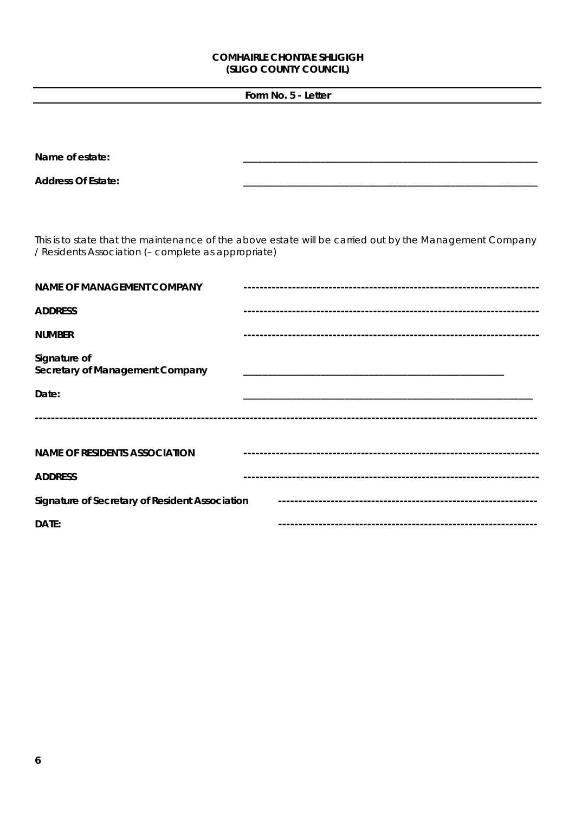## Form No. 5 - Letter

| Name of estate:                                     |                                                                                                         |
|-----------------------------------------------------|---------------------------------------------------------------------------------------------------------|
| <b>Address Of Estate:</b>                           |                                                                                                         |
|                                                     |                                                                                                         |
|                                                     |                                                                                                         |
| / Residents Association (- complete as appropriate) | This is to state that the maintenance of the above estate will be carried out by the Management Company |
| <b>NAME OF MANAGEMENT COMPANY</b>                   |                                                                                                         |
| <b>ADDRESS</b>                                      |                                                                                                         |
| <b>NUMBER</b>                                       |                                                                                                         |
| Signature of<br>Secretary of Management Company     |                                                                                                         |
| Date:                                               |                                                                                                         |
|                                                     |                                                                                                         |
|                                                     |                                                                                                         |
| <b>NAME OF RESIDENTS ASSOCIATION</b>                |                                                                                                         |
| <b>ADDRESS</b>                                      |                                                                                                         |
| Signature of Secretary of Resident Association      |                                                                                                         |
| DATE:                                               |                                                                                                         |